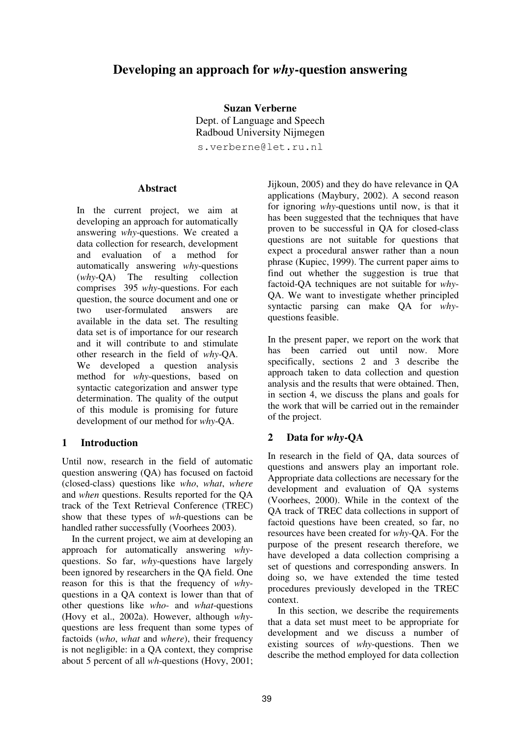# **Developing an approach for** *why***-question answering**

**Suzan Verberne** Dept. of Language and Speech Radboud University Nijmegen

s.verberne@let.ru.nl

#### **Abstract**

In the current project, we aim at developing an approach for automatically answering *why*-questions. We created a data collection for research, development and evaluation of a method for automatically answering *why*-questions (*why*-QA) The resulting collection comprises 395 *why*-questions. For each question, the source document and one or two user-formulated answers are available in the data set. The resulting data set is of importance for our research and it will contribute to and stimulate other research in the field of *why*-QA. We developed a question analysis method for *why*-questions, based on syntactic categorization and answer type determination. The quality of the output of this module is promising for future development of our method for *why*-QA.

### **1 Introduction**

Until now, research in the field of automatic question answering (QA) has focused on factoid (closed-class) questions like *who*, *what*, *where* and *when* questions. Results reported for the QA track of the Text Retrieval Conference (TREC) show that these types of *wh*-questions can be handled rather successfully (Voorhees 2003).

In the current project, we aim at developing an approach for automatically answering *why*questions. So far, *why*-questions have largely been ignored by researchers in the QA field. One reason for this is that the frequency of *why*questions in a QA context is lower than that of other questions like *who*- and *what*-questions (Hovy et al., 2002a). However, although *why*questions are less frequent than some types of factoids (*who*, *what* and *where*), their frequency is not negligible: in a QA context, they comprise about 5 percent of all *wh*-questions (Hovy, 2001; Jijkoun, 2005) and they do have relevance in QA applications (Maybury, 2002). A second reason for ignoring *why*-questions until now, is that it has been suggested that the techniques that have proven to be successful in QA for closed-class questions are not suitable for questions that expect a procedural answer rather than a noun phrase (Kupiec, 1999). The current paper aims to find out whether the suggestion is true that factoid-QA techniques are not suitable for *why*-QA. We want to investigate whether principled syntactic parsing can make QA for *why*questions feasible.

In the present paper, we report on the work that has been carried out until now. More specifically, sections 2 and 3 describe the approach taken to data collection and question analysis and the results that were obtained. Then, in section 4, we discuss the plans and goals for the work that will be carried out in the remainder of the project.

### **2 Data for** *why***-QA**

In research in the field of QA, data sources of questions and answers play an important role. Appropriate data collections are necessary for the development and evaluation of QA systems (Voorhees, 2000). While in the context of the QA track of TREC data collections in support of factoid questions have been created, so far, no resources have been created for *why*-QA. For the purpose of the present research therefore, we have developed a data collection comprising a set of questions and corresponding answers. In doing so, we have extended the time tested procedures previously developed in the TREC context.

In this section, we describe the requirements that a data set must meet to be appropriate for development and we discuss a number of existing sources of *why*-questions. Then we describe the method employed for data collection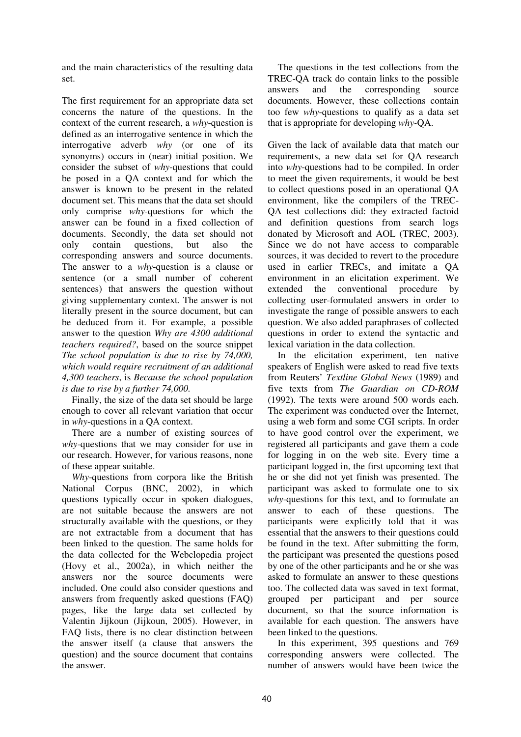and the main characteristics of the resulting data set.

The first requirement for an appropriate data set concerns the nature of the questions. In the context of the current research, a *why*-question is defined as an interrogative sentence in which the interrogative adverb *why* (or one of its synonyms) occurs in (near) initial position. We consider the subset of *why*-questions that could be posed in a QA context and for which the answer is known to be present in the related document set. This means that the data set should only comprise *why-*questions for which the answer can be found in a fixed collection of documents. Secondly, the data set should not only contain questions, but also the corresponding answers and source documents. The answer to a *why*-question is a clause or sentence (or a small number of coherent sentences) that answers the question without giving supplementary context. The answer is not literally present in the source document, but can be deduced from it. For example, a possible answer to the question *Why are 4300 additional teachers required?*, based on the source snippet *The school population is due to rise by 74,000, which would require recruitment of an additional 4,300 teachers*, is *Because the school population is due to rise by a further 74,000.*

Finally, the size of the data set should be large enough to cover all relevant variation that occur in *why*-questions in a QA context.

There are a number of existing sources of *why*-questions that we may consider for use in our research. However, for various reasons, none of these appear suitable.

*Why*-questions from corpora like the British National Corpus (BNC, 2002), in which questions typically occur in spoken dialogues, are not suitable because the answers are not structurally available with the questions, or they are not extractable from a document that has been linked to the question. The same holds for the data collected for the Webclopedia project (Hovy et al., 2002a), in which neither the answers nor the source documents were included. One could also consider questions and answers from frequently asked questions (FAQ) pages, like the large data set collected by Valentin Jijkoun (Jijkoun, 2005). However, in FAQ lists, there is no clear distinction between the answer itself (a clause that answers the question) and the source document that contains the answer.

The questions in the test collections from the TREC-QA track do contain links to the possible answers and the corresponding source documents. However, these collections contain too few *why*-questions to qualify as a data set that is appropriate for developing *why-*QA.

Given the lack of available data that match our requirements, a new data set for QA research into *why*-questions had to be compiled. In order to meet the given requirements, it would be best to collect questions posed in an operational QA environment, like the compilers of the TREC-QA test collections did: they extracted factoid and definition questions from search logs donated by Microsoft and AOL (TREC, 2003). Since we do not have access to comparable sources, it was decided to revert to the procedure used in earlier TRECs, and imitate a QA environment in an elicitation experiment. We extended the conventional procedure by collecting user-formulated answers in order to investigate the range of possible answers to each question. We also added paraphrases of collected questions in order to extend the syntactic and lexical variation in the data collection.

In the elicitation experiment, ten native speakers of English were asked to read five texts from Reuters' *Textline Global News* (1989) and five texts from *The Guardian on CD-ROM* (1992). The texts were around 500 words each. The experiment was conducted over the Internet, using a web form and some CGI scripts. In order to have good control over the experiment, we registered all participants and gave them a code for logging in on the web site. Every time a participant logged in, the first upcoming text that he or she did not yet finish was presented. The participant was asked to formulate one to six *why*-questions for this text, and to formulate an answer to each of these questions. The participants were explicitly told that it was essential that the answers to their questions could be found in the text. After submitting the form, the participant was presented the questions posed by one of the other participants and he or she was asked to formulate an answer to these questions too. The collected data was saved in text format, grouped per participant and per source document, so that the source information is available for each question. The answers have been linked to the questions.

In this experiment, 395 questions and 769 corresponding answers were collected. The number of answers would have been twice the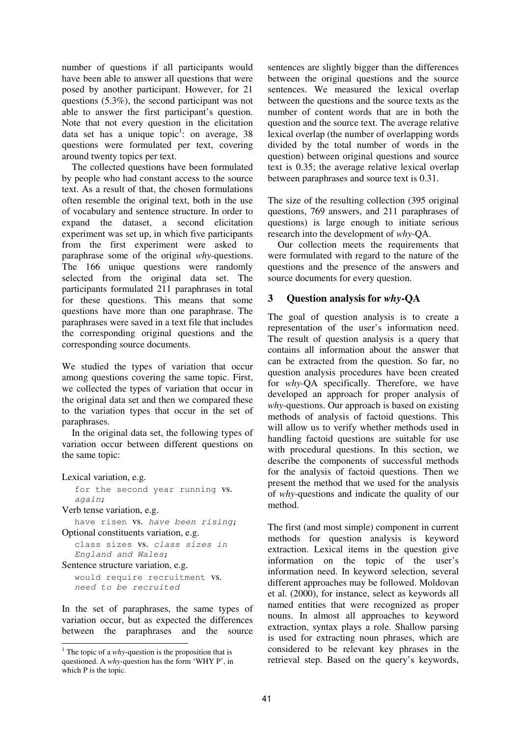number of questions if all participants would have been able to answer all questions that were posed by another participant. However, for 21 questions (5.3%), the second participant was not able to answer the first participant's question. Note that not every question in the elicitation data set has a unique topic<sup>1</sup>: on average, 38 questions were formulated per text, covering around twenty topics per text.

The collected questions have been formulated by people who had constant access to the source text. As a result of that, the chosen formulations often resemble the original text, both in the use of vocabulary and sentence structure. In order to expand the dataset, a second elicitation experiment was set up, in which five participants from the first experiment were asked to paraphrase some of the original *why*-questions. The 166 unique questions were randomly selected from the original data set. The participants formulated 211 paraphrases in total for these questions. This means that some questions have more than one paraphrase. The paraphrases were saved in a text file that includes the corresponding original questions and the corresponding source documents.

We studied the types of variation that occur among questions covering the same topic. First, we collected the types of variation that occur in the original data set and then we compared these to the variation types that occur in the set of paraphrases.

In the original data set, the following types of variation occur between different questions on the same topic:

Lexical variation, e.g.

for the second year running vs. again;

Verb tense variation, e.g.

```
have risen vs. have been rising;
Optional constituents variation, e.g.
   class sizes vs. class sizes in
```
England and Wales; Sentence structure variation, e.g.

would require recruitment vs. need to be recruited

In the set of paraphrases, the same types of variation occur, but as expected the differences between the paraphrases and the source

sentences are slightly bigger than the differences between the original questions and the source sentences. We measured the lexical overlap between the questions and the source texts as the number of content words that are in both the question and the source text. The average relative lexical overlap (the number of overlapping words divided by the total number of words in the question) between original questions and source text is 0.35; the average relative lexical overlap between paraphrases and source text is 0.31.

The size of the resulting collection (395 original questions, 769 answers, and 211 paraphrases of questions) is large enough to initiate serious research into the development of *why*-QA.

Our collection meets the requirements that were formulated with regard to the nature of the questions and the presence of the answers and source documents for every question.

## **3 Question analysis for** *why***-QA**

The goal of question analysis is to create a representation of the user's information need. The result of question analysis is a query that contains all information about the answer that can be extracted from the question. So far, no question analysis procedures have been created for *why*-QA specifically. Therefore, we have developed an approach for proper analysis of *why*-questions. Our approach is based on existing methods of analysis of factoid questions. This will allow us to verify whether methods used in handling factoid questions are suitable for use with procedural questions. In this section, we describe the components of successful methods for the analysis of factoid questions. Then we present the method that we used for the analysis of *why*-questions and indicate the quality of our method.

The first (and most simple) component in current methods for question analysis is keyword extraction. Lexical items in the question give information on the topic of the user's information need. In keyword selection, several different approaches may be followed. Moldovan et al. (2000), for instance, select as keywords all named entities that were recognized as proper nouns. In almost all approaches to keyword extraction, syntax plays a role. Shallow parsing is used for extracting noun phrases, which are considered to be relevant key phrases in the retrieval step. Based on the query's keywords,

<sup>&</sup>lt;sup>1</sup> The topic of a *why*-question is the proposition that is questioned. A *why*-question has the form 'WHY P', in which P is the topic.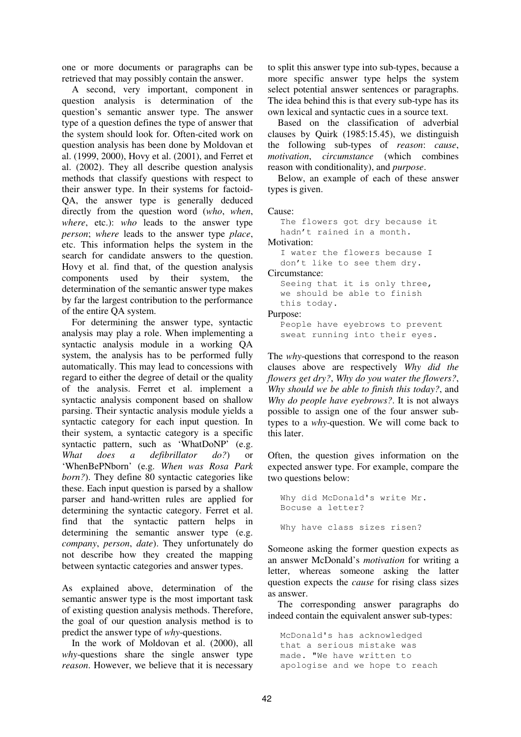one or more documents or paragraphs can be retrieved that may possibly contain the answer.

A second, very important, component in question analysis is determination of the question's semantic answer type. The answer type of a question defines the type of answer that the system should look for. Often-cited work on question analysis has been done by Moldovan et al. (1999, 2000), Hovy et al. (2001), and Ferret et al. (2002). They all describe question analysis methods that classify questions with respect to their answer type. In their systems for factoid-QA, the answer type is generally deduced directly from the question word (*who*, *when*, *where*, etc.): *who* leads to the answer type *person*; *where* leads to the answer type *place*, etc. This information helps the system in the search for candidate answers to the question. Hovy et al. find that, of the question analysis components used by their system, the determination of the semantic answer type makes by far the largest contribution to the performance of the entire QA system.

For determining the answer type, syntactic analysis may play a role. When implementing a syntactic analysis module in a working QA system, the analysis has to be performed fully automatically. This may lead to concessions with regard to either the degree of detail or the quality of the analysis. Ferret et al. implement a syntactic analysis component based on shallow parsing. Their syntactic analysis module yields a syntactic category for each input question. In their system, a syntactic category is a specific syntactic pattern, such as 'WhatDoNP' (e.g. *What does a defibrillator do?*) or 'WhenBePNborn' (e.g. *When was Rosa Park born?*). They define 80 syntactic categories like these. Each input question is parsed by a shallow parser and hand-written rules are applied for determining the syntactic category. Ferret et al. find that the syntactic pattern helps in determining the semantic answer type (e.g. *company*, *person*, *date*). They unfortunately do not describe how they created the mapping between syntactic categories and answer types.

As explained above, determination of the semantic answer type is the most important task of existing question analysis methods. Therefore, the goal of our question analysis method is to predict the answer type of *why*-questions.

In the work of Moldovan et al. (2000), all *why*-questions share the single answer type *reason*. However, we believe that it is necessary to split this answer type into sub-types, because a more specific answer type helps the system select potential answer sentences or paragraphs. The idea behind this is that every sub-type has its own lexical and syntactic cues in a source text.

Based on the classification of adverbial clauses by Quirk (1985:15.45), we distinguish the following sub-types of *reason*: *cause*, *motivation*, *circumstance* (which combines reason with conditionality), and *purpose*.

Below, an example of each of these answer types is given.

Cause:

The flowers got dry because it hadn't rained in a month. Motivation: I water the flowers because I don't like to see them dry. Circumstance: Seeing that it is only three, we should be able to finish this today. Purpose:

People have eyebrows to prevent sweat running into their eyes.

The *why*-questions that correspond to the reason clauses above are respectively *Why did the flowers get dry?*, *Why do you water the flowers?*, *Why should we be able to finish this today?*, and *Why do people have eyebrows?*. It is not always possible to assign one of the four answer subtypes to a *why*-question. We will come back to this later.

Often, the question gives information on the expected answer type. For example, compare the two questions below:

```
Why did McDonald's write Mr.
Bocuse a letter?
Why have class sizes risen?
```
Someone asking the former question expects as an answer McDonald's *motivation* for writing a letter, whereas someone asking the latter question expects the *cause* for rising class sizes as answer.

The corresponding answer paragraphs do indeed contain the equivalent answer sub-types:

McDonald's has acknowledged that a serious mistake was made. "We have written to apologise and we hope to reach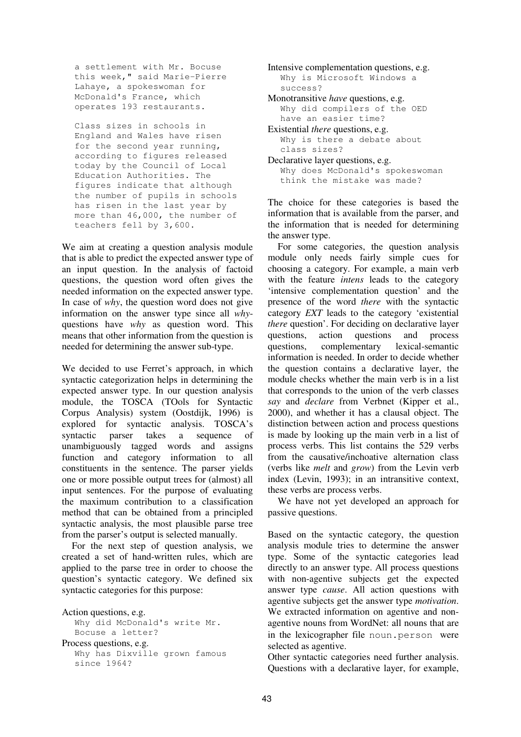a settlement with Mr. Bocuse this week," said Marie-Pierre Lahaye, a spokeswoman for McDonald's France, which operates 193 restaurants.

Class sizes in schools in England and Wales have risen for the second year running, according to figures released today by the Council of Local Education Authorities. The figures indicate that although the number of pupils in schools has risen in the last year by more than 46,000, the number of teachers fell by 3,600.

We aim at creating a question analysis module that is able to predict the expected answer type of an input question. In the analysis of factoid questions, the question word often gives the needed information on the expected answer type. In case of *why*, the question word does not give information on the answer type since all *why*questions have *why* as question word. This means that other information from the question is needed for determining the answer sub-type.

We decided to use Ferret's approach, in which syntactic categorization helps in determining the expected answer type. In our question analysis module, the TOSCA (TOols for Syntactic Corpus Analysis) system (Oostdijk, 1996) is explored for syntactic analysis. TOSCA's syntactic parser takes a sequence of unambiguously tagged words and assigns function and category information to all constituents in the sentence. The parser yields one or more possible output trees for (almost) all input sentences. For the purpose of evaluating the maximum contribution to a classification method that can be obtained from a principled syntactic analysis, the most plausible parse tree from the parser's output is selected manually.

For the next step of question analysis, we created a set of hand-written rules, which are applied to the parse tree in order to choose the question's syntactic category. We defined six syntactic categories for this purpose:

Action questions, e.g. Why did McDonald's write Mr. Bocuse a letter? Process questions, e.g. Why has Dixville grown famous since 1964?

Intensive complementation questions, e.g. Why is Microsoft Windows a success?

Monotransitive *have* questions, e.g. Why did compilers of the OED have an easier time?

Existential *there* questions, e.g. Why is there a debate about class sizes?

Declarative layer questions, e.g. Why does McDonald's spokeswoman think the mistake was made?

The choice for these categories is based the information that is available from the parser, and the information that is needed for determining the answer type.

For some categories, the question analysis module only needs fairly simple cues for choosing a category. For example, a main verb with the feature *intens* leads to the category 'intensive complementation question' and the presence of the word *there* with the syntactic category *EXT* leads to the category 'existential *there* question'. For deciding on declarative layer questions, action questions and process questions, complementary lexical-semantic information is needed. In order to decide whether the question contains a declarative layer, the module checks whether the main verb is in a list that corresponds to the union of the verb classes *say* and *declare* from Verbnet (Kipper et al., 2000), and whether it has a clausal object. The distinction between action and process questions is made by looking up the main verb in a list of process verbs. This list contains the 529 verbs from the causative/inchoative alternation class (verbs like *melt* and *grow*) from the Levin verb index (Levin, 1993); in an intransitive context, these verbs are process verbs.

We have not yet developed an approach for passive questions.

Based on the syntactic category, the question analysis module tries to determine the answer type. Some of the syntactic categories lead directly to an answer type. All process questions with non-agentive subjects get the expected answer type *cause*. All action questions with agentive subjects get the answer type *motivation*. We extracted information on agentive and nonagentive nouns from WordNet: all nouns that are in the lexicographer file noun.person were selected as agentive.

Other syntactic categories need further analysis. Questions with a declarative layer, for example,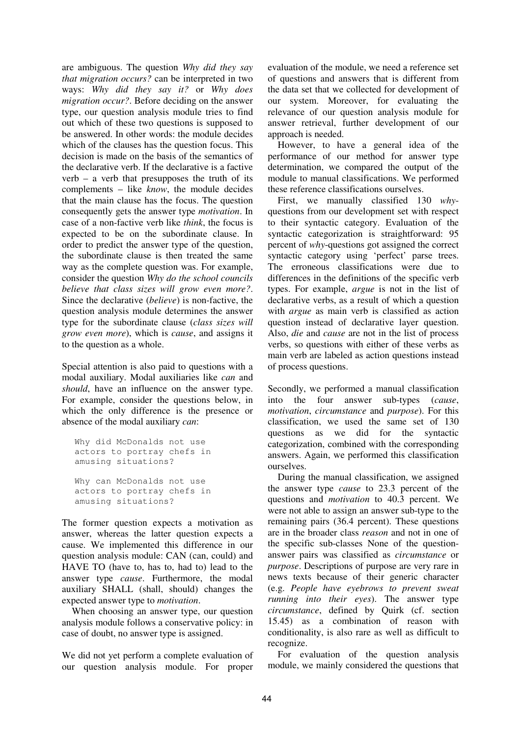are ambiguous. The question *Why did they say that migration occurs?* can be interpreted in two ways: *Why did they say it?* or *Why does migration occur?*. Before deciding on the answer type, our question analysis module tries to find out which of these two questions is supposed to be answered. In other words: the module decides which of the clauses has the question focus. This decision is made on the basis of the semantics of the declarative verb. If the declarative is a factive verb – a verb that presupposes the truth of its complements – like *know*, the module decides that the main clause has the focus. The question consequently gets the answer type *motivation*. In case of a non-factive verb like *think*, the focus is expected to be on the subordinate clause. In order to predict the answer type of the question, the subordinate clause is then treated the same way as the complete question was. For example, consider the question *Why do the school councils believe that class sizes will grow even more?*. Since the declarative (*believe*) is non-factive, the question analysis module determines the answer type for the subordinate clause (*class sizes will grow even more*), which is *cause*, and assigns it to the question as a whole.

Special attention is also paid to questions with a modal auxiliary. Modal auxiliaries like *can* and *should*, have an influence on the answer type. For example, consider the questions below, in which the only difference is the presence or absence of the modal auxiliary *can*:

```
Why did McDonalds not use
actors to portray chefs in
amusing situations?
Why can McDonalds not use
actors to portray chefs in
amusing situations?
```
The former question expects a motivation as answer, whereas the latter question expects a cause. We implemented this difference in our question analysis module: CAN (can, could) and HAVE TO (have to, has to, had to) lead to the answer type *cause*. Furthermore, the modal auxiliary SHALL (shall, should) changes the expected answer type to *motivation*.

When choosing an answer type, our question analysis module follows a conservative policy: in case of doubt, no answer type is assigned.

We did not yet perform a complete evaluation of our question analysis module. For proper evaluation of the module, we need a reference set of questions and answers that is different from the data set that we collected for development of our system. Moreover, for evaluating the relevance of our question analysis module for answer retrieval, further development of our approach is needed.

However, to have a general idea of the performance of our method for answer type determination, we compared the output of the module to manual classifications. We performed these reference classifications ourselves.

First, we manually classified 130 *why*questions from our development set with respect to their syntactic category. Evaluation of the syntactic categorization is straightforward: 95 percent of *why*-questions got assigned the correct syntactic category using 'perfect' parse trees. The erroneous classifications were due to differences in the definitions of the specific verb types. For example, *argue* is not in the list of declarative verbs, as a result of which a question with *argue* as main verb is classified as action question instead of declarative layer question. Also, *die* and *cause* are not in the list of process verbs, so questions with either of these verbs as main verb are labeled as action questions instead of process questions.

Secondly, we performed a manual classification into the four answer sub-types (*cause*, *motivation*, *circumstance* and *purpose*). For this classification, we used the same set of 130 questions as we did for the syntactic categorization, combined with the corresponding answers. Again, we performed this classification ourselves.

During the manual classification, we assigned the answer type *cause* to 23.3 percent of the questions and *motivation* to 40.3 percent. We were not able to assign an answer sub-type to the remaining pairs (36.4 percent). These questions are in the broader class *reason* and not in one of the specific sub-classes None of the questionanswer pairs was classified as *circumstance* or *purpose*. Descriptions of purpose are very rare in news texts because of their generic character (e.g. *People have eyebrows to prevent sweat running into their eyes*). The answer type *circumstance*, defined by Quirk (cf. section 15.45) as a combination of reason with conditionality, is also rare as well as difficult to recognize.

For evaluation of the question analysis module, we mainly considered the questions that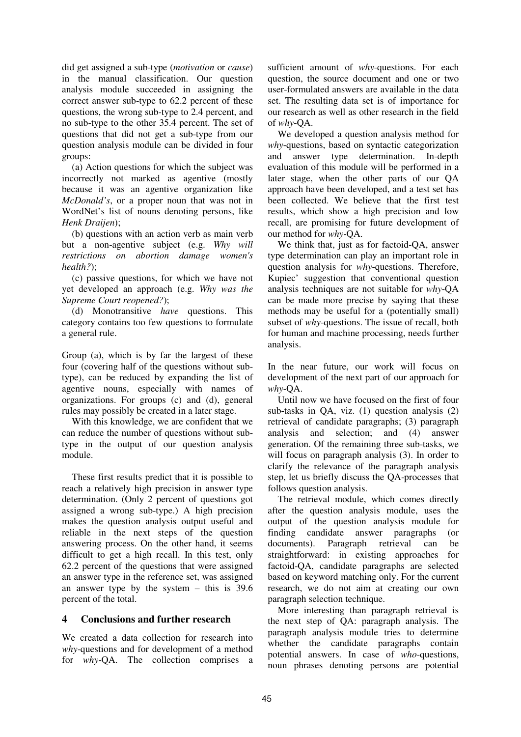did get assigned a sub-type (*motivation* or *cause*) in the manual classification. Our question analysis module succeeded in assigning the correct answer sub-type to 62.2 percent of these questions, the wrong sub-type to 2.4 percent, and no sub-type to the other 35.4 percent. The set of questions that did not get a sub-type from our question analysis module can be divided in four groups:

(a) Action questions for which the subject was incorrectly not marked as agentive (mostly because it was an agentive organization like *McDonald's*, or a proper noun that was not in WordNet's list of nouns denoting persons, like *Henk Draijen*);

(b) questions with an action verb as main verb but a non-agentive subject (e.g. *Why will restrictions on abortion damage women's health?*);

(c) passive questions, for which we have not yet developed an approach (e.g. *Why was the Supreme Court reopened?*);

(d) Monotransitive *have* questions. This category contains too few questions to formulate a general rule.

Group (a), which is by far the largest of these four (covering half of the questions without subtype), can be reduced by expanding the list of agentive nouns, especially with names of organizations. For groups (c) and (d), general rules may possibly be created in a later stage.

With this knowledge, we are confident that we can reduce the number of questions without subtype in the output of our question analysis module.

These first results predict that it is possible to reach a relatively high precision in answer type determination. (Only 2 percent of questions got assigned a wrong sub-type.) A high precision makes the question analysis output useful and reliable in the next steps of the question answering process. On the other hand, it seems difficult to get a high recall. In this test, only 62.2 percent of the questions that were assigned an answer type in the reference set, was assigned an answer type by the system – this is 39.6 percent of the total.

### **4 Conclusions and further research**

We created a data collection for research into *why*-questions and for development of a method for *why*-QA. The collection comprises a

sufficient amount of *why*-questions. For each question, the source document and one or two user-formulated answers are available in the data set. The resulting data set is of importance for our research as well as other research in the field of *why*-QA.

We developed a question analysis method for *why*-questions, based on syntactic categorization and answer type determination. In-depth evaluation of this module will be performed in a later stage, when the other parts of our QA approach have been developed, and a test set has been collected. We believe that the first test results, which show a high precision and low recall, are promising for future development of our method for *why*-QA.

We think that, just as for factoid-QA, answer type determination can play an important role in question analysis for *why*-questions. Therefore, Kupiec' suggestion that conventional question analysis techniques are not suitable for *why*-QA can be made more precise by saying that these methods may be useful for a (potentially small) subset of *why*-questions. The issue of recall, both for human and machine processing, needs further analysis.

In the near future, our work will focus on development of the next part of our approach for *why*-QA.

Until now we have focused on the first of four sub-tasks in QA, viz. (1) question analysis (2) retrieval of candidate paragraphs; (3) paragraph analysis and selection; and (4) answer generation. Of the remaining three sub-tasks, we will focus on paragraph analysis (3). In order to clarify the relevance of the paragraph analysis step, let us briefly discuss the QA-processes that follows question analysis.

The retrieval module, which comes directly after the question analysis module, uses the output of the question analysis module for finding candidate answer paragraphs (or documents). Paragraph retrieval can be straightforward: in existing approaches for factoid-QA, candidate paragraphs are selected based on keyword matching only. For the current research, we do not aim at creating our own paragraph selection technique.

More interesting than paragraph retrieval is the next step of QA: paragraph analysis. The paragraph analysis module tries to determine whether the candidate paragraphs contain potential answers. In case of *who*-questions, noun phrases denoting persons are potential